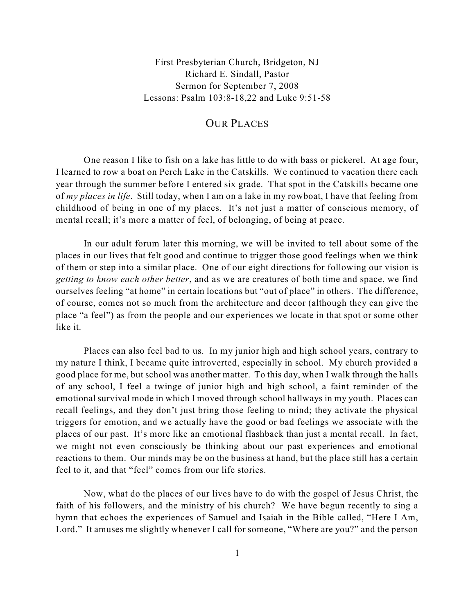First Presbyterian Church, Bridgeton, NJ Richard E. Sindall, Pastor Sermon for September 7, 2008 Lessons: Psalm 103:8-18,22 and Luke 9:51-58

## OUR PLACES

One reason I like to fish on a lake has little to do with bass or pickerel. At age four, I learned to row a boat on Perch Lake in the Catskills. We continued to vacation there each year through the summer before I entered six grade. That spot in the Catskills became one of *my places in life*. Still today, when I am on a lake in my rowboat, I have that feeling from childhood of being in one of my places. It's not just a matter of conscious memory, of mental recall; it's more a matter of feel, of belonging, of being at peace.

In our adult forum later this morning, we will be invited to tell about some of the places in our lives that felt good and continue to trigger those good feelings when we think of them or step into a similar place. One of our eight directions for following our vision is *getting to know each other better*, and as we are creatures of both time and space, we find ourselves feeling "at home" in certain locations but "out of place" in others. The difference, of course, comes not so much from the architecture and decor (although they can give the place "a feel") as from the people and our experiences we locate in that spot or some other like it.

Places can also feel bad to us. In my junior high and high school years, contrary to my nature I think, I became quite introverted, especially in school. My church provided a good place for me, but school was another matter. To this day, when I walk through the halls of any school, I feel a twinge of junior high and high school, a faint reminder of the emotional survival mode in which I moved through school hallways in my youth. Places can recall feelings, and they don't just bring those feeling to mind; they activate the physical triggers for emotion, and we actually have the good or bad feelings we associate with the places of our past. It's more like an emotional flashback than just a mental recall. In fact, we might not even consciously be thinking about our past experiences and emotional reactions to them. Our minds may be on the business at hand, but the place still has a certain feel to it, and that "feel" comes from our life stories.

Now, what do the places of our lives have to do with the gospel of Jesus Christ, the faith of his followers, and the ministry of his church? We have begun recently to sing a hymn that echoes the experiences of Samuel and Isaiah in the Bible called, "Here I Am, Lord." It amuses me slightly whenever I call for someone, "Where are you?" and the person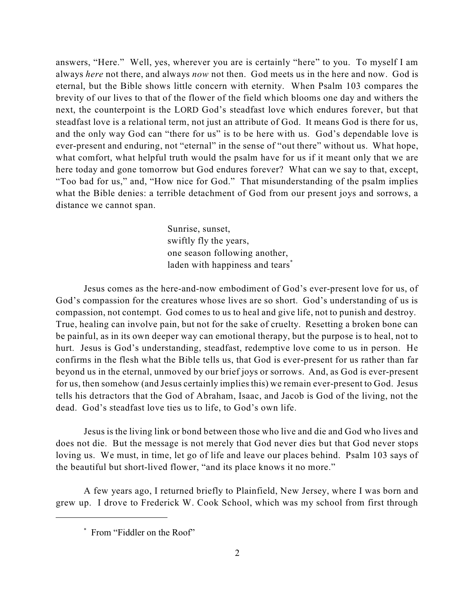answers, "Here." Well, yes, wherever you are is certainly "here" to you. To myself I am always *here* not there, and always *now* not then. God meets us in the here and now. God is eternal, but the Bible shows little concern with eternity. When Psalm 103 compares the brevity of our lives to that of the flower of the field which blooms one day and withers the next, the counterpoint is the LORD God's steadfast love which endures forever, but that steadfast love is a relational term, not just an attribute of God. It means God is there for us, and the only way God can "there for us" is to be here with us. God's dependable love is ever-present and enduring, not "eternal" in the sense of "out there" without us. What hope, what comfort, what helpful truth would the psalm have for us if it meant only that we are here today and gone tomorrow but God endures forever? What can we say to that, except, "Too bad for us," and, "How nice for God." That misunderstanding of the psalm implies what the Bible denies: a terrible detachment of God from our present joys and sorrows, a distance we cannot span.

> Sunrise, sunset, swiftly fly the years, one season following another, laden with happiness and tears<sup>\*</sup>

Jesus comes as the here-and-now embodiment of God's ever-present love for us, of God's compassion for the creatures whose lives are so short. God's understanding of us is compassion, not contempt. God comes to us to heal and give life, not to punish and destroy. True, healing can involve pain, but not for the sake of cruelty. Resetting a broken bone can be painful, as in its own deeper way can emotional therapy, but the purpose is to heal, not to hurt. Jesus is God's understanding, steadfast, redemptive love come to us in person. He confirms in the flesh what the Bible tells us, that God is ever-present for us rather than far beyond us in the eternal, unmoved by our brief joys or sorrows. And, as God is ever-present for us, then somehow (and Jesus certainly implies this) we remain ever-present to God. Jesus tells his detractors that the God of Abraham, Isaac, and Jacob is God of the living, not the dead. God's steadfast love ties us to life, to God's own life.

Jesus is the living link or bond between those who live and die and God who lives and does not die. But the message is not merely that God never dies but that God never stops loving us. We must, in time, let go of life and leave our places behind. Psalm 103 says of the beautiful but short-lived flower, "and its place knows it no more."

A few years ago, I returned briefly to Plainfield, New Jersey, where I was born and grew up. I drove to Frederick W. Cook School, which was my school from first through

From "Fiddler on the Roof" \*